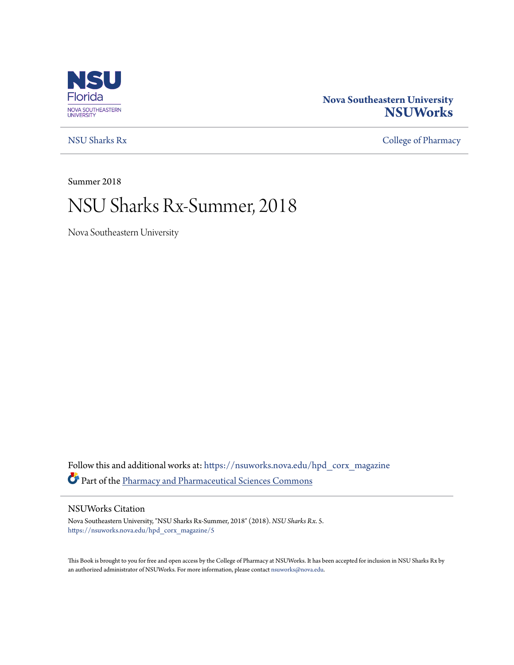

### **Nova Southeastern University [NSUWorks](https://nsuworks.nova.edu?utm_source=nsuworks.nova.edu%2Fhpd_corx_magazine%2F5&utm_medium=PDF&utm_campaign=PDFCoverPages)**

[NSU Sharks Rx](https://nsuworks.nova.edu/hpd_corx_magazine?utm_source=nsuworks.nova.edu%2Fhpd_corx_magazine%2F5&utm_medium=PDF&utm_campaign=PDFCoverPages) [College of Pharmacy](https://nsuworks.nova.edu/hpd_corx?utm_source=nsuworks.nova.edu%2Fhpd_corx_magazine%2F5&utm_medium=PDF&utm_campaign=PDFCoverPages)

Summer 2018

# NSU Sharks Rx-Summer, 2018

Nova Southeastern University

Follow this and additional works at: [https://nsuworks.nova.edu/hpd\\_corx\\_magazine](https://nsuworks.nova.edu/hpd_corx_magazine?utm_source=nsuworks.nova.edu%2Fhpd_corx_magazine%2F5&utm_medium=PDF&utm_campaign=PDFCoverPages) Part of the [Pharmacy and Pharmaceutical Sciences Commons](http://network.bepress.com/hgg/discipline/731?utm_source=nsuworks.nova.edu%2Fhpd_corx_magazine%2F5&utm_medium=PDF&utm_campaign=PDFCoverPages)

#### NSUWorks Citation

Nova Southeastern University, "NSU Sharks Rx-Summer, 2018" (2018). *NSU Sharks Rx*. 5. [https://nsuworks.nova.edu/hpd\\_corx\\_magazine/5](https://nsuworks.nova.edu/hpd_corx_magazine/5?utm_source=nsuworks.nova.edu%2Fhpd_corx_magazine%2F5&utm_medium=PDF&utm_campaign=PDFCoverPages)

This Book is brought to you for free and open access by the College of Pharmacy at NSUWorks. It has been accepted for inclusion in NSU Sharks Rx by an authorized administrator of NSUWorks. For more information, please contact [nsuworks@nova.edu.](mailto:nsuworks@nova.edu)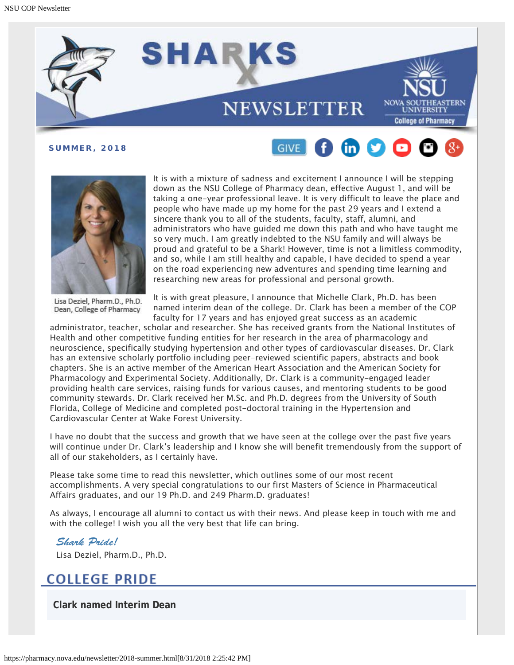





It is with a mixture of sadness and excitement I announce I will be stepping down as the NSU College of Pharmacy dean, effective August 1, and will be taking a one-year professional leave. It is very difficult to leave the place and people who have made up my home for the past 29 years and I extend a sincere thank you to all of the students, faculty, staff, alumni, and administrators who have guided me down this path and who have taught me so very much. I am greatly indebted to the NSU family and will always be proud and grateful to be a Shark! However, time is not a limitless commodity, and so, while I am still healthy and capable, I have decided to spend a year on the road experiencing new adventures and spending time learning and researching new areas for professional and personal growth.

Lisa Deziel, Pharm.D., Ph.D. Dean, College of Pharmacy

It is with great pleasure, I announce that Michelle Clark, Ph.D. has been named interim dean of the college. Dr. Clark has been a member of the COP faculty for 17 years and has enjoyed great success as an academic

administrator, teacher, scholar and researcher. She has received grants from the National Institutes of Health and other competitive funding entities for her research in the area of pharmacology and neuroscience, specifically studying hypertension and other types of cardiovascular diseases. Dr. Clark has an extensive scholarly portfolio including peer-reviewed scientific papers, abstracts and book chapters. She is an active member of the American Heart Association and the American Society for Pharmacology and Experimental Society. Additionally, Dr. Clark is a community-engaged leader providing health care services, raising funds for various causes, and mentoring students to be good community stewards. Dr. Clark received her M.Sc. and Ph.D. degrees from the University of South Florida, College of Medicine and completed post-doctoral training in the Hypertension and Cardiovascular Center at Wake Forest University.

I have no doubt that the success and growth that we have seen at the college over the past five years will continue under Dr. Clark's leadership and I know she will benefit tremendously from the support of all of our stakeholders, as I certainly have.

Please take some time to read this newsletter, which outlines some of our most recent accomplishments. A very special congratulations to our first Masters of Science in Pharmaceutical Affairs graduates, and our 19 Ph.D. and 249 Pharm.D. graduates!

As always, I encourage all alumni to contact us with their news. And please keep in touch with me and with the college! I wish you all the very best that life can bring.

# *Shark Pride!*

Lisa Deziel, Pharm.D., Ph.D.

### **COLLEGE PRIDE**

**Clark named Interim Dean**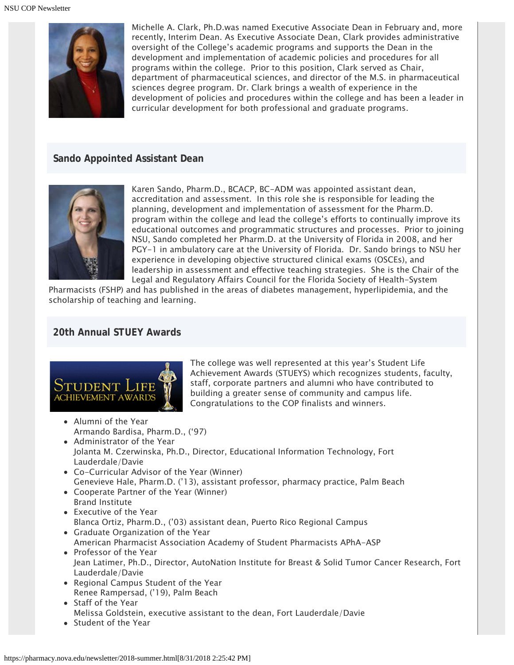

Michelle A. Clark, Ph.D.was named Executive Associate Dean in February and, more recently, Interim Dean. As Executive Associate Dean, Clark provides administrative oversight of the College's academic programs and supports the Dean in the development and implementation of academic policies and procedures for all programs within the college. Prior to this position, Clark served as Chair, department of pharmaceutical sciences, and director of the M.S. in pharmaceutical sciences degree program. Dr. Clark brings a wealth of experience in the development of policies and procedures within the college and has been a leader in curricular development for both professional and graduate programs.

#### **Sando Appointed Assistant Dean**



Karen Sando, Pharm.D., BCACP, BC-ADM was appointed assistant dean, accreditation and assessment. In this role she is responsible for leading the planning, development and implementation of assessment for the Pharm.D. program within the college and lead the college's efforts to continually improve its educational outcomes and programmatic structures and processes. Prior to joining NSU, Sando completed her Pharm.D. at the University of Florida in 2008, and her PGY-1 in ambulatory care at the University of Florida. Dr. Sando brings to NSU her experience in developing objective structured clinical exams (OSCEs), and leadership in assessment and effective teaching strategies. She is the Chair of the Legal and Regulatory Affairs Council for the Florida Society of Health-System

Pharmacists (FSHP) and has published in the areas of diabetes management, hyperlipidemia, and the scholarship of teaching and learning.

#### **20th Annual STUEY Awards**



The college was well represented at this year's Student Life Achievement Awards (STUEYS) which recognizes students, faculty, staff, corporate partners and alumni who have contributed to building a greater sense of community and campus life. Congratulations to the COP finalists and winners.

- Alumni of the Year Armando Bardisa, Pharm.D., ('97)
- Administrator of the Year Jolanta M. Czerwinska, Ph.D., Director, Educational Information Technology, Fort Lauderdale/Davie
- Co-Curricular Advisor of the Year (Winner) Genevieve Hale, Pharm.D. ('13), assistant professor, pharmacy practice, Palm Beach
- Cooperate Partner of the Year (Winner) Brand Institute
- Executive of the Year Blanca Ortiz, Pharm.D., ('03) assistant dean, Puerto Rico Regional Campus
- Graduate Organization of the Year American Pharmacist Association Academy of Student Pharmacists APhA-ASP
- Professor of the Year Jean Latimer, Ph.D., Director, AutoNation Institute for Breast & Solid Tumor Cancer Research, Fort Lauderdale/Davie
- Regional Campus Student of the Year Renee Rampersad, ('19), Palm Beach
- Staff of the Year Melissa Goldstein, executive assistant to the dean, Fort Lauderdale/Davie
- Student of the Year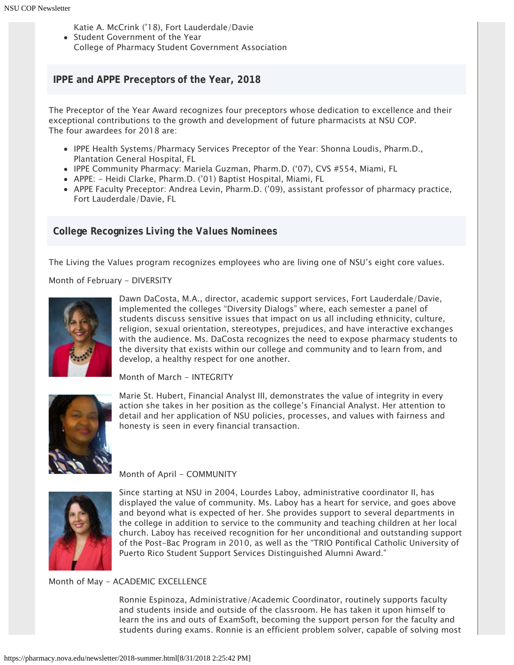- Katie A. McCrink ('18), Fort Lauderdale/Davie
- Student Government of the Year
- College of Pharmacy Student Government Association

#### **IPPE and APPE Preceptors of the Year, 2018**

The Preceptor of the Year Award recognizes four preceptors whose dedication to excellence and their exceptional contributions to the growth and development of future pharmacists at NSU COP. The four awardees for 2018 are:

- IPPE Health Systems/Pharmacy Services Preceptor of the Year: Shonna Loudis, Pharm.D., Plantation General Hospital, FL
- IPPE Community Pharmacy: Mariela Guzman, Pharm.D. ('07), CVS #554, Miami, FL
- APPE: Heidi Clarke, Pharm.D. ('01) Baptist Hospital, Miami, FL
- APPE Faculty Preceptor: Andrea Levin, Pharm.D. ('09), assistant professor of pharmacy practice, Fort Lauderdale/Davie, FL

#### **College Recognizes** *Living the Values* **Nominees**

The Living the Values program recognizes employees who are living one of NSU's eight core values.

Month of February - DIVERSITY



Dawn DaCosta, M.A., director, academic support services, Fort Lauderdale/Davie, implemented the colleges "Diversity Dialogs" where, each semester a panel of students discuss sensitive issues that impact on us all including ethnicity, culture, religion, sexual orientation, stereotypes, prejudices, and have interactive exchanges with the audience. Ms. DaCosta recognizes the need to expose pharmacy students to the diversity that exists within our college and community and to learn from, and develop, a healthy respect for one another.

Month of March - INTEGRITY



Marie St. Hubert, Financial Analyst III, demonstrates the value of integrity in every action she takes in her position as the college's Financial Analyst. Her attention to detail and her application of NSU policies, processes, and values with fairness and honesty is seen in every financial transaction.

#### Month of April - COMMUNITY



Since starting at NSU in 2004, Lourdes Laboy, administrative coordinator II, has displayed the value of community. Ms. Laboy has a heart for service, and goes above and beyond what is expected of her. She provides support to several departments in the college in addition to service to the community and teaching children at her local church. Laboy has received recognition for her unconditional and outstanding support of the Post-Bac Program in 2010, as well as the "TRIO Pontifical Catholic University of Puerto Rico Student Support Services Distinguished Alumni Award."

#### Month of May - ACADEMIC EXCELLENCE

Ronnie Espinoza, Administrative/Academic Coordinator, routinely supports faculty and students inside and outside of the classroom. He has taken it upon himself to learn the ins and outs of ExamSoft, becoming the support person for the faculty and students during exams. Ronnie is an efficient problem solver, capable of solving most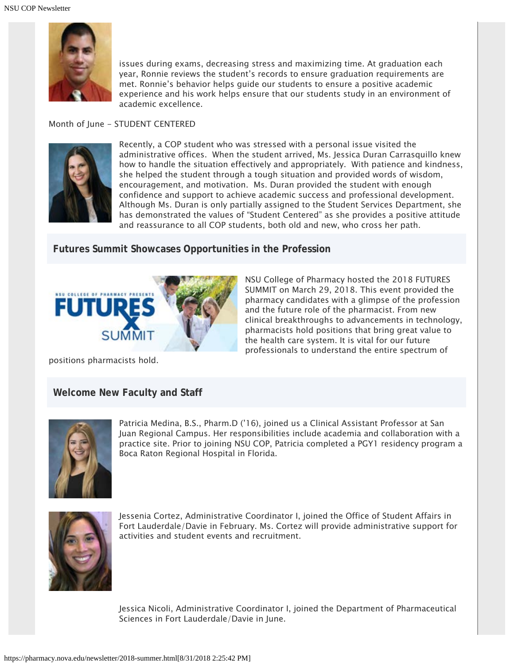

issues during exams, decreasing stress and maximizing time. At graduation each year, Ronnie reviews the student's records to ensure graduation requirements are met. Ronnie's behavior helps guide our students to ensure a positive academic experience and his work helps ensure that our students study in an environment of academic excellence.

#### Month of June - STUDENT CENTERED



Recently, a COP student who was stressed with a personal issue visited the administrative offices. When the student arrived, Ms. Jessica Duran Carrasquillo knew how to handle the situation effectively and appropriately. With patience and kindness, she helped the student through a tough situation and provided words of wisdom, encouragement, and motivation. Ms. Duran provided the student with enough confidence and support to achieve academic success and professional development. Although Ms. Duran is only partially assigned to the Student Services Department, she has demonstrated the values of "Student Centered" as she provides a positive attitude and reassurance to all COP students, both old and new, who cross her path.

#### **Futures Summit Showcases Opportunities in the Profession**



NSU College of Pharmacy hosted the 2018 FUTURES SUMMIT on March 29, 2018. This event provided the pharmacy candidates with a glimpse of the profession and the future role of the pharmacist. From new clinical breakthroughs to advancements in technology, pharmacists hold positions that bring great value to the health care system. It is vital for our future professionals to understand the entire spectrum of

positions pharmacists hold.

#### **Welcome New Faculty and Staff**



Patricia Medina, B.S., Pharm.D ('16), joined us a Clinical Assistant Professor at San Juan Regional Campus. Her responsibilities include academia and collaboration with a practice site. Prior to joining NSU COP, Patricia completed a PGY1 residency program a Boca Raton Regional Hospital in Florida.



Jessenia Cortez, Administrative Coordinator I, joined the Office of Student Affairs in Fort Lauderdale/Davie in February. Ms. Cortez will provide administrative support for activities and student events and recruitment.

Jessica Nicoli, Administrative Coordinator I, joined the Department of Pharmaceutical Sciences in Fort Lauderdale/Davie in June.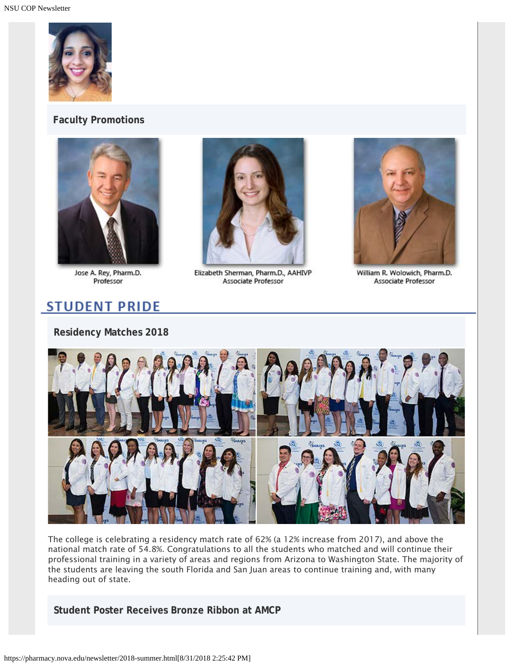

#### **Faculty Promotions**



Jose A. Rey, Pharm.D. Professor



Elizabeth Sherman, Pharm.D., AAHIVP Associate Professor



William R. Wolowich, Pharm.D. Associate Professor

## **STUDENT PRIDE**

#### **Residency Matches 2018**



The college is celebrating a residency match rate of 62% (a 12% increase from 2017), and above the national match rate of 54.8%. Congratulations to all the students who matched and will continue their professional training in a variety of areas and regions from Arizona to Washington State. The majority of the students are leaving the south Florida and San Juan areas to continue training and, with many heading out of state.

**Student Poster Receives Bronze Ribbon at AMCP**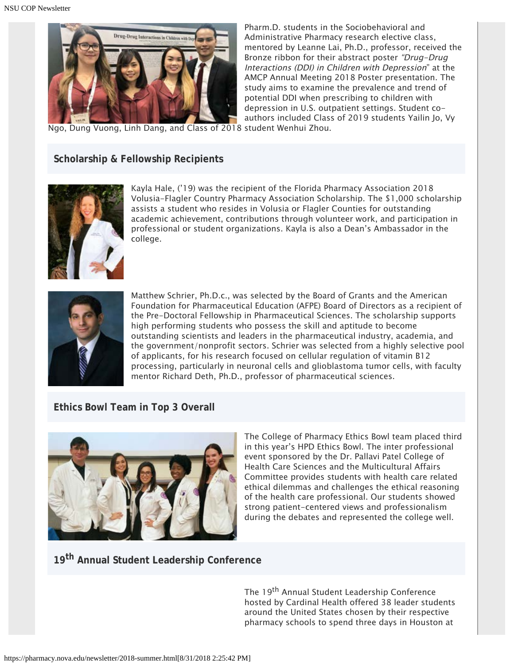

Pharm.D. students in the Sociobehavioral and Administrative Pharmacy research elective class, mentored by Leanne Lai, Ph.D., professor, received the Bronze ribbon for their abstract poster "Drug-Drug Interactions (DDI) in Children with Depression" at the AMCP Annual Meeting 2018 Poster presentation. The study aims to examine the prevalence and trend of potential DDI when prescribing to children with depression in U.S. outpatient settings. Student coauthors included Class of 2019 students Yailin Jo, Vy

Ngo, Dung Vuong, Linh Dang, and Class of 2018 student Wenhui Zhou.

#### **Scholarship & Fellowship Recipients**



Kayla Hale, ('19) was the recipient of the Florida Pharmacy Association 2018 Volusia-Flagler Country Pharmacy Association Scholarship. The \$1,000 scholarship assists a student who resides in Volusia or Flagler Counties for outstanding academic achievement, contributions through volunteer work, and participation in professional or student organizations. Kayla is also a Dean's Ambassador in the college.



Matthew Schrier, Ph.D.c., was selected by the Board of Grants and the American Foundation for Pharmaceutical Education (AFPE) Board of Directors as a recipient of the Pre-Doctoral Fellowship in Pharmaceutical Sciences. The scholarship supports high performing students who possess the skill and aptitude to become outstanding scientists and leaders in the pharmaceutical industry, academia, and the government/nonprofit sectors. Schrier was selected from a highly selective pool of applicants, for his research focused on cellular regulation of vitamin B12 processing, particularly in neuronal cells and glioblastoma tumor cells, with faculty mentor Richard Deth, Ph.D., professor of pharmaceutical sciences.

#### **Ethics Bowl Team in Top 3 Overall**



The College of Pharmacy Ethics Bowl team placed third in this year's HPD Ethics Bowl. The inter professional event sponsored by the Dr. Pallavi Patel College of Health Care Sciences and the Multicultural Affairs Committee provides students with health care related ethical dilemmas and challenges the ethical reasoning of the health care professional. Our students showed strong patient-centered views and professionalism during the debates and represented the college well.

### **19th Annual Student Leadership Conference**

The 19<sup>th</sup> Annual Student Leadership Conference hosted by Cardinal Health offered 38 leader students around the United States chosen by their respective pharmacy schools to spend three days in Houston at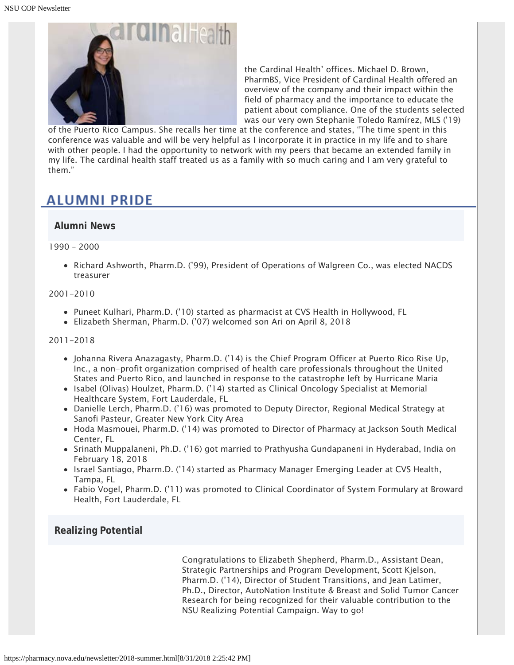

the Cardinal Health' offices. Michael D. Brown, PharmBS, Vice President of Cardinal Health offered an overview of the company and their impact within the field of pharmacy and the importance to educate the patient about compliance. One of the students selected was our very own Stephanie Toledo Ramírez, MLS ('19)

of the Puerto Rico Campus. She recalls her time at the conference and states, "The time spent in this conference was valuable and will be very helpful as I incorporate it in practice in my life and to share with other people. I had the opportunity to network with my peers that became an extended family in my life. The cardinal health staff treated us as a family with so much caring and I am very grateful to them."

### **ALUMNI PRIDE**

#### **Alumni News**

1990 – 2000

• Richard Ashworth, Pharm.D. ('99), President of Operations of Walgreen Co., was elected NACDS treasurer

#### 2001-2010

- Puneet Kulhari, Pharm.D. ('10) started as pharmacist at CVS Health in Hollywood, FL
- Elizabeth Sherman, Pharm.D. ('07) welcomed son Ari on April 8, 2018

2011-2018

- Johanna Rivera Anazagasty, Pharm.D. ('14) is the Chief Program Officer at Puerto Rico Rise Up, Inc., a non-profit organization comprised of health care professionals throughout the United States and Puerto Rico, and launched in response to the catastrophe left by Hurricane Maria
- Isabel (Olivas) Houlzet, Pharm.D. ('14) started as Clinical Oncology Specialist at Memorial Healthcare System, Fort Lauderdale, FL
- Danielle Lerch, Pharm.D. ('16) was promoted to Deputy Director, Regional Medical Strategy at Sanofi Pasteur, Greater New York City Area
- Hoda Masmouei, Pharm.D. ('14) was promoted to Director of Pharmacy at Jackson South Medical Center, FL
- Srinath Muppalaneni, Ph.D. ('16) got married to Prathyusha Gundapaneni in Hyderabad, India on February 18, 2018
- Israel Santiago, Pharm.D. ('14) started as Pharmacy Manager Emerging Leader at CVS Health, Tampa, FL
- Fabio Vogel, Pharm.D. ('11) was promoted to Clinical Coordinator of System Formulary at Broward Health, Fort Lauderdale, FL

#### **Realizing Potential**

Congratulations to Elizabeth Shepherd, Pharm.D., Assistant Dean, Strategic Partnerships and Program Development, Scott Kjelson, Pharm.D. ('14), Director of Student Transitions, and Jean Latimer, Ph.D., Director, AutoNation Institute & Breast and Solid Tumor Cancer Research for being recognized for their valuable contribution to the NSU Realizing Potential Campaign. Way to go!